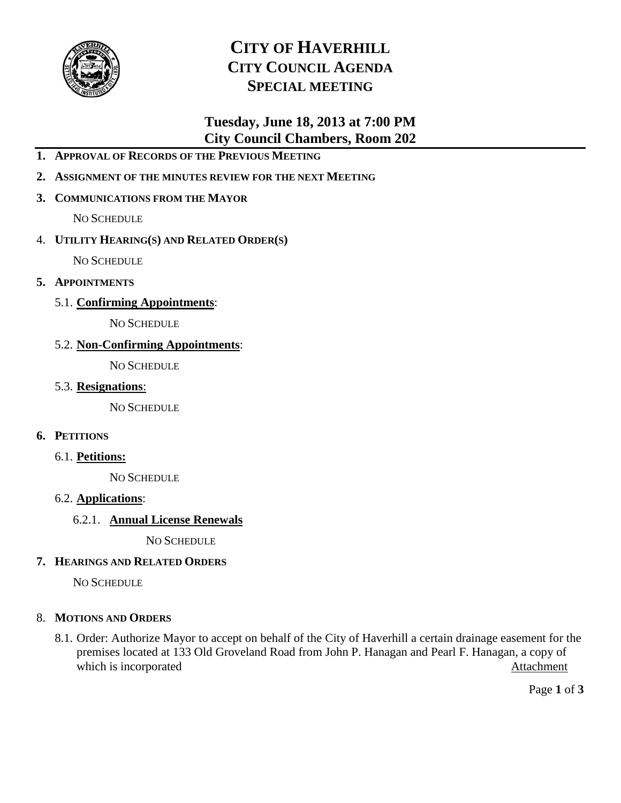

# **CITY OF HAVERHILL CITY COUNCIL AGENDA SPECIAL MEETING**

# **Tuesday, June 18, 2013 at 7:00 PM City Council Chambers, Room 202**

- **1. APPROVAL OF RECORDS OF THE PREVIOUS MEETING**
- **2. ASSIGNMENT OF THE MINUTES REVIEW FOR THE NEXT MEETING**

## **3. COMMUNICATIONS FROM THE MAYOR**

NO SCHEDULE

## 4. **UTILITY HEARING(S) AND RELATED ORDER(S)**

NO SCHEDULE

- **5. APPOINTMENTS**
	- 5.1. **Confirming Appointments**:

NO SCHEDULE

## 5.2. **Non-Confirming Appointments**:

NO SCHEDULE

5.3. **Resignations**:

NO SCHEDULE

## **6. PETITIONS**

6.1. **Petitions:**

NO SCHEDULE

## 6.2. **Applications**:

## 6.2.1. **Annual License Renewals**

NO SCHEDULE

## **7. HEARINGS AND RELATED ORDERS**

NO SCHEDULE

## 8. **MOTIONS AND ORDERS**

8.1. Order: Authorize Mayor to accept on behalf of the City of Haverhill a certain drainage easement for the premises located at 133 Old Groveland Road from John P. Hanagan and Pearl F. Hanagan, a copy of which is incorporated Attachment

Page **1** of **3**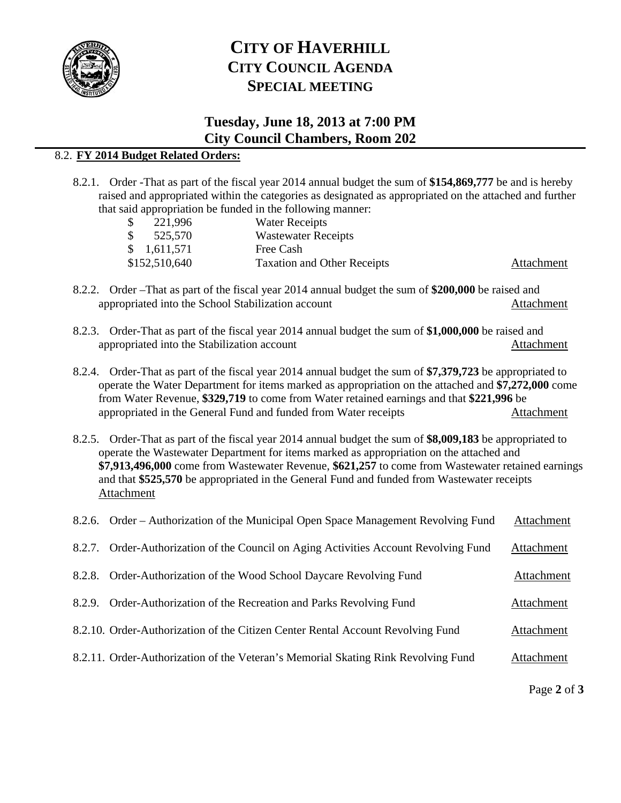

# **CITY OF HAVERHILL CITY COUNCIL AGENDA SPECIAL MEETING**

# **Tuesday, June 18, 2013 at 7:00 PM City Council Chambers, Room 202**

# 8.2. **FY 2014 Budget Related Orders:**

8.2.1. Order -That as part of the fiscal year 2014 annual budget the sum of **\$154,869,777** be and is hereby raised and appropriated within the categories as designated as appropriated on the attached and further that said appropriation be funded in the following manner:

| $\mathbb{S}^-$ | 221,996       | <b>Water Receipts</b>              |            |
|----------------|---------------|------------------------------------|------------|
| $\mathbb{S}$   | 525,570       | <b>Wastewater Receipts</b>         |            |
|                | \$1,611,571   | Free Cash                          |            |
|                | \$152,510,640 | <b>Taxation and Other Receipts</b> | Attachment |

- 8.2.2. Order –That as part of the fiscal year 2014 annual budget the sum of **\$200,000** be raised and appropriated into the School Stabilization account Attachment
- 8.2.3. Order-That as part of the fiscal year 2014 annual budget the sum of **\$1,000,000** be raised and appropriated into the Stabilization account Attachment
- 8.2.4. Order-That as part of the fiscal year 2014 annual budget the sum of **\$7,379,723** be appropriated to operate the Water Department for items marked as appropriation on the attached and **\$7,272,000** come from Water Revenue, **\$329,719** to come from Water retained earnings and that **\$221,996** be appropriated in the General Fund and funded from Water receipts Attachment
- 8.2.5. Order-That as part of the fiscal year 2014 annual budget the sum of **\$8,009,183** be appropriated to operate the Wastewater Department for items marked as appropriation on the attached and **\$7,913,496,000** come from Wastewater Revenue, **\$621,257** to come from Wastewater retained earnings and that **\$525,570** be appropriated in the General Fund and funded from Wastewater receipts Attachment

| 8.2.6. Order – Authorization of the Municipal Open Space Management Revolving Fund   | Attachment |
|--------------------------------------------------------------------------------------|------------|
| 8.2.7. Order-Authorization of the Council on Aging Activities Account Revolving Fund | Attachment |
| 8.2.8. Order-Authorization of the Wood School Daycare Revolving Fund                 | Attachment |
| 8.2.9. Order-Authorization of the Recreation and Parks Revolving Fund                | Attachment |
| 8.2.10. Order-Authorization of the Citizen Center Rental Account Revolving Fund      | Attachment |
| 8.2.11. Order-Authorization of the Veteran's Memorial Skating Rink Revolving Fund    | Attachment |

Page **2** of **3**